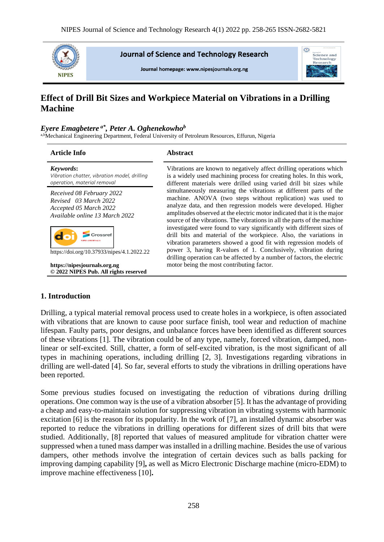

**Journal of Science and Technology Research** 

Journal homepage: www.nipesiournals.org.ng



# **Effect of Drill Bit Sizes and Workpiece Material on Vibrations in a Drilling Machine**

#### *Eyere Emagbetere a\*, Peter A. Oghenekowho<sup>b</sup>*

a,bMechanical Engineering Department, Federal University of Petroleum Resources, Effurun, Nigeria

| <b>Article Info</b>                                                                                                 | <b>Abstract</b>                                                                                                                                                                                                                                                                                                                                                                                                                                                                                          |
|---------------------------------------------------------------------------------------------------------------------|----------------------------------------------------------------------------------------------------------------------------------------------------------------------------------------------------------------------------------------------------------------------------------------------------------------------------------------------------------------------------------------------------------------------------------------------------------------------------------------------------------|
| Keywords:<br>Vibration chatter, vibration model, drilling<br>operation, material removal                            | Vibrations are known to negatively affect drilling operations which<br>is a widely used machining process for creating holes. In this work,<br>different materials were drilled using varied drill bit sizes while                                                                                                                                                                                                                                                                                       |
| Received 08 February 2022<br>Revised 03 March 2022<br>Accepted 05 March 2022<br>Available online 13 March 2022      | simultaneously measuring the vibrations at different parts of the<br>machine. ANOVA (two steps without replication) was used to<br>analyze data, and then regression models were developed. Higher<br>amplitudes observed at the electric motor indicated that it is the major<br>source of the vibrations. The vibrations in all the parts of the machine<br>investigated were found to vary significantly with different sizes of<br>drill bits and material of the workpiece. Also, the variations in |
| https://doi.org/10.37933/nipes/4.1.2022.22<br>https://nipesjournals.org.ng<br>© 2022 NIPES Pub. All rights reserved | vibration parameters showed a good fit with regression models of<br>power 3, having R-values of 1. Conclusively, vibration during<br>drilling operation can be affected by a number of factors, the electric<br>motor being the most contributing factor.                                                                                                                                                                                                                                                |

## **1. Introduction**

Drilling, a typical material removal process used to create holes in a workpiece, is often associated with vibrations that are known to cause poor surface finish, tool wear and reduction of machine lifespan. Faulty parts, poor designs, and unbalance forces have been identified as different sources of these vibrations [1]. The vibration could be of any type, namely, forced vibration, damped, nonlinear or self-excited. Still, chatter, a form of self-excited vibration, is the most significant of all types in machining operations, including drilling [2, 3]. Investigations regarding vibrations in drilling are well-dated [4]. So far, several efforts to study the vibrations in drilling operations have been reported.

Some previous studies focused on investigating the reduction of vibrations during drilling operations. One common way is the use of a vibration absorber [5]. It has the advantage of providing a cheap and easy-to-maintain solution for suppressing vibration in vibrating systems with harmonic excitation [6] is the reason for its popularity. In the work of [7], an installed dynamic absorber was reported to reduce the vibrations in drilling operations for different sizes of drill bits that were studied. Additionally, [8] reported that values of measured amplitude for vibration chatter were suppressed when a tuned mass damper was installed in a drilling machine. Besides the use of various dampers, other methods involve the integration of certain devices such as balls packing for improving damping capability [9]**,** as well as Micro Electronic Discharge machine (micro-EDM) to improve machine effectiveness [10]**.**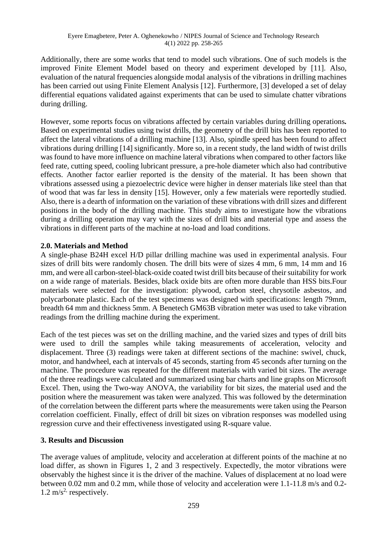Additionally, there are some works that tend to model such vibrations. One of such models is the improved Finite Element Model based on theory and experiment developed by [11]. Also, evaluation of the natural frequencies alongside modal analysis of the vibrations in drilling machines has been carried out using Finite Element Analysis [12]. Furthermore, [3] developed a set of delay differential equations validated against experiments that can be used to simulate chatter vibrations during drilling.

However, some reports focus on vibrations affected by certain variables during drilling operations*.*  Based on experimental studies using twist drills, the geometry of the drill bits has been reported to affect the lateral vibrations of a drilling machine [13]. Also, spindle speed has been found to affect vibrations during drilling [14] significantly. More so, in a recent study, the land width of twist drills was found to have more influence on machine lateral vibrations when compared to other factors like feed rate, cutting speed, cooling lubricant pressure, a pre-hole diameter which also had contributive effects. Another factor earlier reported is the density of the material. It has been shown that vibrations assessed using a piezoelectric device were higher in denser materials like steel than that of wood that was far less in density [15]. However, only a few materials were reportedly studied. Also, there is a dearth of information on the variation of these vibrations with drill sizes and different positions in the body of the drilling machine. This study aims to investigate how the vibrations during a drilling operation may vary with the sizes of drill bits and material type and assess the vibrations in different parts of the machine at no-load and load conditions.

## **2.0. Materials and Method**

A single-phase B24H excel H/D pillar drilling machine was used in experimental analysis. Four sizes of drill bits were randomly chosen. The drill bits were of sizes 4 mm, 6 mm, 14 mm and 16 mm, and were all carbon-steel-black-oxide coated twist drill bits because of their suitability for work on a wide range of materials. Besides, black oxide bits are often more durable than HSS bits.Four materials were selected for the investigation: plywood, carbon steel, chrysotile asbestos, and polycarbonate plastic. Each of the test specimens was designed with specifications: length 79mm, breadth 64 mm and thickness 5mm. A Benetech GM63B vibration meter was used to take vibration readings from the drilling machine during the experiment.

Each of the test pieces was set on the drilling machine, and the varied sizes and types of drill bits were used to drill the samples while taking measurements of acceleration, velocity and displacement. Three (3) readings were taken at different sections of the machine: swivel, chuck, motor, and handwheel, each at intervals of 45 seconds, starting from 45 seconds after turning on the machine. The procedure was repeated for the different materials with varied bit sizes. The average of the three readings were calculated and summarized using bar charts and line graphs on Microsoft Excel. Then, using the Two-way ANOVA, the variability for bit sizes, the material used and the position where the measurement was taken were analyzed. This was followed by the determination of the correlation between the different parts where the measurements were taken using the Pearson correlation coefficient. Finally, effect of drill bit sizes on vibration responses was modelled using regression curve and their effectiveness investigated using R-square value.

# **3. Results and Discussion**

The average values of amplitude, velocity and acceleration at different points of the machine at no load differ, as shown in Figures 1, 2 and 3 respectively. Expectedly, the motor vibrations were observably the highest since it is the driver of the machine. Values of displacement at no load were between 0.02 mm and 0.2 mm, while those of velocity and acceleration were 1.1-11.8 m/s and 0.2-  $1.2 \text{ m/s}^2$  respectively.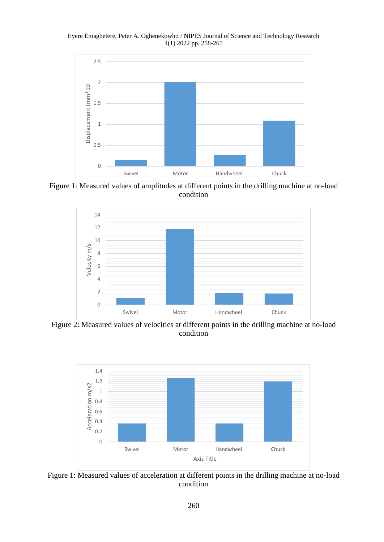Eyere Emagbetere, Peter A. Oghenekowho / NIPES Journal of Science and Technology Research 4(1) 2022 pp. 258-265



Figure 1: Measured values of amplitudes at different points in the drilling machine at no-load condition



Figure 2: Measured values of velocities at different points in the drilling machine at no-load condition



Figure 1: Measured values of acceleration at different points in the drilling machine at no-load condition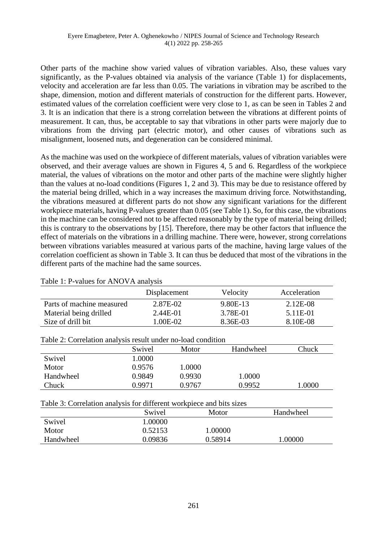Other parts of the machine show varied values of vibration variables. Also, these values vary significantly, as the P-values obtained via analysis of the variance (Table 1) for displacements, velocity and acceleration are far less than 0.05. The variations in vibration may be ascribed to the shape, dimension, motion and different materials of construction for the different parts. However, estimated values of the correlation coefficient were very close to 1, as can be seen in Tables 2 and 3. It is an indication that there is a strong correlation between the vibrations at different points of measurement. It can, thus, be acceptable to say that vibrations in other parts were majorly due to vibrations from the driving part (electric motor), and other causes of vibrations such as misalignment, loosened nuts, and degeneration can be considered minimal.

As the machine was used on the workpiece of different materials, values of vibration variables were observed, and their average values are shown in Figures 4, 5 and 6. Regardless of the workpiece material, the values of vibrations on the motor and other parts of the machine were slightly higher than the values at no-load conditions (Figures 1, 2 and 3). This may be due to resistance offered by the material being drilled, which in a way increases the maximum driving force. Notwithstanding, the vibrations measured at different parts do not show any significant variations for the different workpiece materials, having P-values greater than 0.05 (see Table 1). So, for this case, the vibrations in the machine can be considered not to be affected reasonably by the type of material being drilled; this is contrary to the observations by [15]. Therefore, there may be other factors that influence the effect of materials on the vibrations in a drilling machine. There were, however, strong correlations between vibrations variables measured at various parts of the machine, having large values of the correlation coefficient as shown in Table 3. It can thus be deduced that most of the vibrations in the different parts of the machine had the same sources.

|                           | Displacement | Velocity | Acceleration |
|---------------------------|--------------|----------|--------------|
| Parts of machine measured | 2.87E-02     | 9.80E-13 | 2.12E-08     |
| Material being drilled    | 2.44E-01     | 3.78E-01 | 5.11E-01     |
| Size of drill bit         | 1.00E-02-    | 8.36E-03 | 8.10E-08     |

|  |  |  | Table 1: P-values for ANOVA analysis |  |
|--|--|--|--------------------------------------|--|
|--|--|--|--------------------------------------|--|

| Table 2: Correlation analysis result under no-load condition |        |        |           |       |  |  |  |
|--------------------------------------------------------------|--------|--------|-----------|-------|--|--|--|
|                                                              | Swivel | Motor  | Handwheel | Chuck |  |  |  |
| Swivel                                                       | 1.0000 |        |           |       |  |  |  |
| Motor                                                        | 0.9576 | 1.0000 |           |       |  |  |  |
| Handwheel                                                    | 0.9849 | 0.9930 | 1.0000    |       |  |  |  |
| Chuck                                                        | 0.9971 | 0.9767 | 0.9952    | .0000 |  |  |  |
|                                                              |        |        |           |       |  |  |  |

| $\mathbf{P}$ -1.1. $\mathbf{A}$ , $\mathbf{A}$ , and $\mathbf{I}$ , the construction construction denotes the distribution |  |  |  |
|----------------------------------------------------------------------------------------------------------------------------|--|--|--|

| Table 3: Correlation analysis for different workpiece and bits sizes |  |  |  |  |  |  |  |  |  |  |  |
|----------------------------------------------------------------------|--|--|--|--|--|--|--|--|--|--|--|
|----------------------------------------------------------------------|--|--|--|--|--|--|--|--|--|--|--|

| A WUAN UT WULLULUMAULI WILWATULU AUL WILLULULU TIULIULUUN WILW ULUU ULUUU |         |         |           |
|---------------------------------------------------------------------------|---------|---------|-----------|
|                                                                           | Swivel  | Motor   | Handwheel |
| Swivel                                                                    | .00000  |         |           |
| Motor                                                                     | 0.52153 | 1.00000 |           |
| Handwheel                                                                 | 0.09836 | 0.58914 | 1.00000   |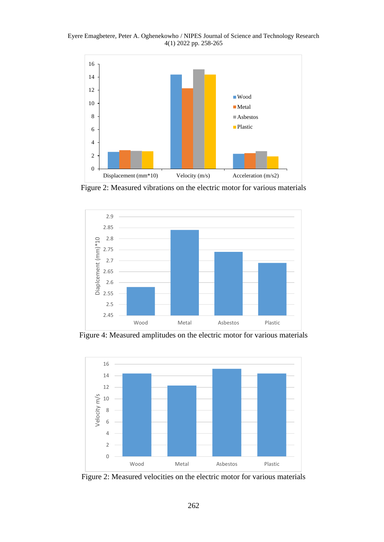Eyere Emagbetere, Peter A. Oghenekowho / NIPES Journal of Science and Technology Research 4(1) 2022 pp. 258-265



Figure 2: Measured vibrations on the electric motor for various materials



Figure 4: Measured amplitudes on the electric motor for various materials



Figure 2: Measured velocities on the electric motor for various materials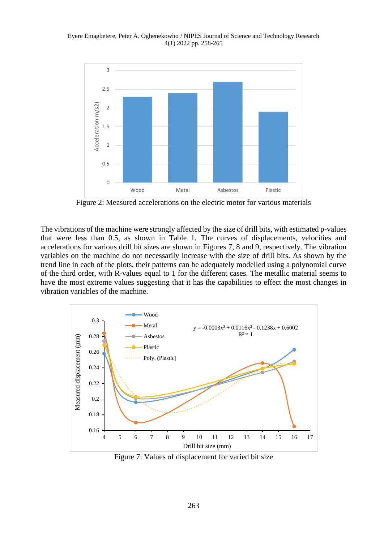Eyere Emagbetere, Peter A. Oghenekowho / NIPES Journal of Science and Technology Research 4(1) 2022 pp. 258-265



Figure 2: Measured accelerations on the electric motor for various materials

The vibrations of the machine were strongly affected by the size of drill bits, with estimated p-values that were less than 0.5, as shown in Table 1. The curves of displacements, velocities and accelerations for various drill bit sizes are shown in Figures 7, 8 and 9, respectively. The vibration variables on the machine do not necessarily increase with the size of drill bits. As shown by the trend line in each of the plots, their patterns can be adequately modelled using a polynomial curve of the third order, with R-values equal to 1 for the different cases. The metallic material seems to have the most extreme values suggesting that it has the capabilities to effect the most changes in vibration variables of the machine.



Figure 7: Values of displacement for varied bit size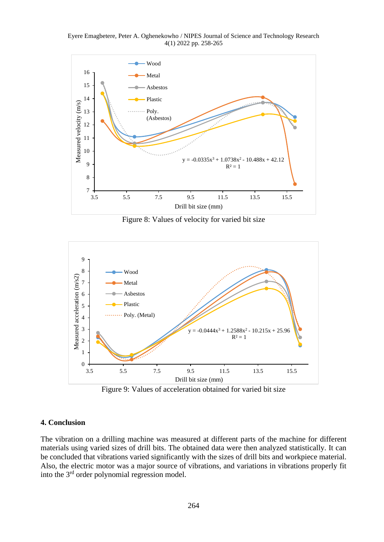Eyere Emagbetere, Peter A. Oghenekowho / NIPES Journal of Science and Technology Research 4(1) 2022 pp. 258-265



Figure 8: Values of velocity for varied bit size



Figure 9: Values of acceleration obtained for varied bit size

## **4. Conclusion**

The vibration on a drilling machine was measured at different parts of the machine for different materials using varied sizes of drill bits. The obtained data were then analyzed statistically. It can be concluded that vibrations varied significantly with the sizes of drill bits and workpiece material. Also, the electric motor was a major source of vibrations, and variations in vibrations properly fit into the 3rd order polynomial regression model.